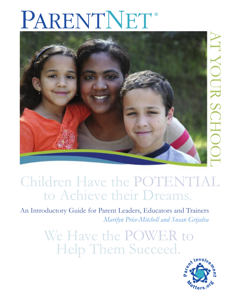# PARENTNET®



## Children Have the POTENTIAL to Achieve their Dreams.

An Introductory Guide for Parent Leaders, Educators and Trainers *Marilyn Price-Mitchell and Susan Grijalva*

> We Have the POWER to Help Them Succeed.

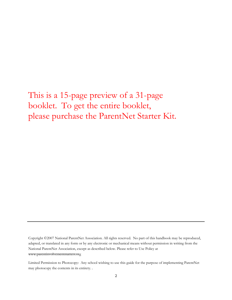## This is a 15-page preview of a 31-page booklet. To get the entire booklet, please purchase the ParentNet Starter Kit.

Copyright ©2007 National ParentNet Association. All rights reserved. No part of this handbook may be reproduced, adapted, or translated in any form or by any electronic or mechanical means without permission in writing from the National ParentNet Association, except as described below. Please refer to Use Policy at www.parentinvolvementmatters.org

Limited Permission to Photocopy: Any school wishing to use this guide for the purpose of implementing ParentNet may photocopy the contents in its entirety. .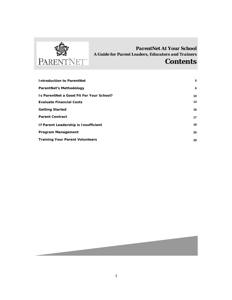

### *ParentNet At Your School A Guide for Parent Leaders, Educators and Trainers*

## *Contents*

| <b>Introduction to ParentNet</b>         | 5  |
|------------------------------------------|----|
| <b>ParentNet's Methodology</b>           | 6  |
| Is ParentNet a Good Fit For Your School? | 10 |
| <b>Evaluate Financial Costs</b>          | 14 |
| <b>Getting Started</b>                   | 16 |
| <b>Parent Contract</b>                   | 17 |
| If Parent Leadership is Insufficient     | 18 |
| <b>Program Management</b>                | 20 |
| <b>Training Your Parent Volunteers</b>   | 29 |

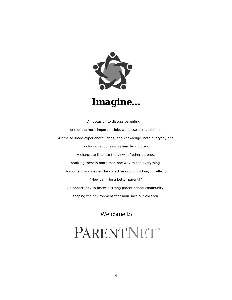

An occasion to discuss parenting one of the most important jobs we possess in a lifetime. A time to share experiences, ideas, and knowledge, both everyday and profound, about raising healthy children. A chance to listen to the views of other parents, realizing there is more than one way to see everything. A moment to consider the collective group wisdom, to reflect, "How can I be a better parent?" An opportunity to foster a strong parent-school community, shaping the environment that nourishes our children.

*Welcome to* 

## PARENTNET®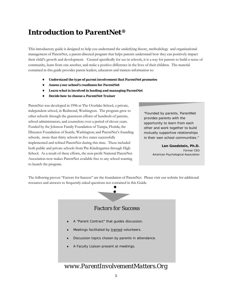## *Introduction to ParentNet®*

This introductory guide is designed to help you understand the underlying theory, methodology and organizational management of ParentNet, a parent-directed program that helps parents understand how they can positively impact their child's growth and development. Created specifically for use in schools, it is a way for parents to build a sense of community, learn from one another, and make a positive difference in the lives of their children. The material contained in this guide provides parent leaders, educators and trainers information to:

- ♦ *Understand the type of parent involvement that ParentNet promotes*
- ♦ *Assess your school's readiness for ParentNet*
- Learn what is involved in leading and managing ParentNet
- ♦ *Decide how to choose a ParentNet Trainer*

ParentNet was developed in 1996 at The Overlake School, a private, independent school, in Redmond, Washington. The program grew to other schools through the grassroots efforts of hundreds of parents, school administrators, and counselors over a period of eleven years. Funded by the Johnson Family Foundation of Tampa, Florida; the Discuren Foundation of Seattle, Washington; and ParentNet's founding schools, more than thirty schools in five states successfully implemented and refined ParentNet during this time. These included both public and private schools from Pre-Kindergarten through High School. As a result of these efforts, the non-profit National ParentNet Association now makes ParentNet available free to any school wanting to launch the program.

"Founded by parents, ParentNet provides parents with the opportunity to learn from each other and work together to build mutually supportive relationships in their own school communities."

> *Len Goodstein, Ph.D. Former CEO American Psychological Association*

The following proven "Factors for Success" are the foundation of ParentNet. Please visit our website for additional resources and answers to frequently-asked questions not contained in this Guide.



#### *Factors for Success*

- A "Parent Contract" that guides discussion.
- Meetings facilitated by trained volunteers.
- Discussion topics chosen by parents in attendance.
- A Faculty Liaison present at meetings.

### *www.ParentInvolvementMatters.Org*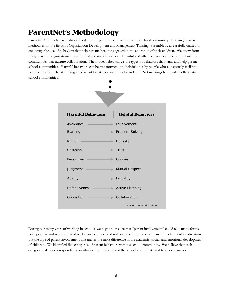## *ParentNet's Methodology*

ParentNet® uses a behavior-based model to bring about positive change in a school community. Utilizing proven methods from the fields of Organization Development and Management Training, ParentNet was carefully crafted to encourage the use of behaviors that help parents become engaged in the education of their children. We know from many years of organizational research that certain behaviors are harmful and other behaviors are helpful in building communities that nurture collaboration. The model below shows the types of behaviors that harm and help parentschool communities. Harmful behaviors can be transformed into helpful ones by people who consciously facilitate positive change. The skills taught to parent facilitators and modeled in ParentNet meetings help build collaborative school communities.



During our many years of working in schools, we began to realize that "parent involvement" could take many forms, both positive and negative. And we began to understand not only the importance of parent involvement in education but the type of parent involvement that makes the most difference in the academic, social, and emotional development of children. We identified five categories of parent behaviors within a school community. We believe that each category makes a corresponding contribution to the success of the school community and to student success.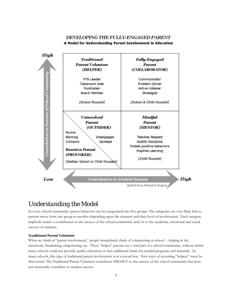## DEVELOPING THE FULLY-ENGAGED PARENT





## *Understanding the Model*

In every school community, parent behaviors can be categorized into five groups. The categories are very fluid, that is, parents move from one group to another depending upon the situation and their level of involvement. Each category implicitly makes a contribution to the success of the school community and/or to the academic, emotional and social success of students.

#### *Traditional Parent Volunteer*

When we think of "parent involvement," people immediately think of volunteering at school -- helping in the classroom, fundraising, chaperoning, etc. These "helper" parents are a vital part of a school community, without which many schools could not provide quality education or raise additional funds for needed programs and materials. In many schools, this type of traditional parent involvement is at a record low. New ways of recruiting "helpers" must be discovered. The Traditional Parent Volunteer contributes HIGHLY to the success of the school community but does not necessarily contribute to student success.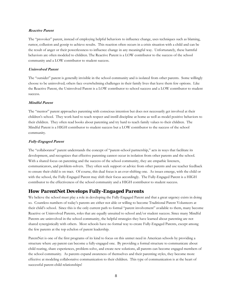#### **Reactive Parent**

The "provoker" parent, instead of employing helpful behaviors to influence change, uses techniques such as blaming, rumor, collusion and gossip to achieve results. This reaction often occurs in a crisis situation with a child and can be the result of anger or their powerlessness to influence change in any meaningful way. Unfortunately, these harmful behaviors are often modeled to children. The Reactive Parent is a LOW contributor to the success of the school community and a LOW contributor to student success.

#### **Uninvolved Parent**

The "outsider" parent is generally invisible in the school community and is isolated from other parents. Some willingly choose to be uninvolved; others face overwhelming challenges in their family lives that leave them few options. Like the Reactive Parent, the Uninvolved Parent is a LOW contributor to school success and a LOW contributor to student success.

#### **Mindful Parent**

The "mentor" parent approaches parenting with conscious intention but does not necessarily get involved at their children's school. They work hard to teach respect and instill discipline at home as well as model positive behaviors to their children. They often read books about parenting and try hard to teach family values to their children. The Mindful Parent is a HIGH contributor to student success but a LOW contributor to the success of the school community.

#### **Fully-Engaged Parent**

The "collaborator" parent understands the concept of "parent-school partnership," acts in ways that facilitate its development, and recognizes that effective parenting cannot occur in isolation from other parents and the school. With a shared focus on parenting and the success of the school community, they are empathic listeners, communicators, and problem-solvers. They often seek support or advice from other parents and use teacher feedback to ensure their child is on tract. Of course, this dual focus is an ever-shifting one. As issues emerge, with the child or with the school, the Fully-Engaged Parent may shift their focus accordingly. The Fully-Engaged Parent is a HIGH contributor to the effectiveness of the school community and a HIGH contributor to student success.

#### *How ParentNet Develops Fully-Engaged Parents*

We believe the school must play a role in developing the Fully-Engaged Parent and that a great urgency exists in doing so. Countless numbers of today's parents are either not able or willing to become Traditional Parent Volunteers at their child's school. Since this is the only current path to formal "parent involvement" available to them, many become Reactive or Uninvolved Parents, roles that are equally unsuited to school and/or student success. Since many Mindful Parents are uninvolved in the school community, the helpful strategies they have learned about parenting are not shared synergistically with others. Most schools have no formal way to create Fully-Engaged Parents, except among the few parents at the top echelon of parent leadership.

ParentNet is one of the first programs of its kind to focus on this unmet need in American schools by providing a structure where *any* parent can become a fully-engaged one. By providing a formal structure to communicate about child rearing, share experiences, problem-solve, and create new solutions, all parents can become engaged members of the school community. As parents expand awareness of themselves and their parenting styles, they become more effective at modeling collaborative communication to their children. This type of communication is at the heart of successful parent-child relationships!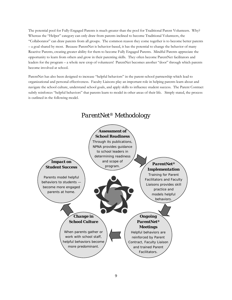The potential pool for Fully-Engaged Parents is much greater than the pool for Traditional Parent Volunteers. Why? Whereas the "Helper" category can only draw from parents inclined to become Traditional Volunteers, the "Collaborator" can draw parents from all groups. The common reason they come together is to become better parents – a goal shared by most. Because ParentNet is behavior-based, it has the potential to change the behavior of many Reactive Parents, creating greater ability for them to become Fully Engaged Parents. Mindful Parents appreciate the opportunity to learn from others and grow in their parenting skills. They often become ParentNet facilitators and leaders for the program – a whole new crop of volunteers! ParentNet becomes another "door" through which parents become involved at school.

ParentNet has also been designed to increase "helpful behaviors" in the parent-school partnership which lead to organizational and personal effectiveness. Faculty Liaisons play an important role in helping parents learn about and navigate the school culture, understand school goals, and apply skills to influence student success. The Parent Contract subtly reinforces "helpful behaviors" that parents learn to model in other areas of their life. Simply stated, the process is outlined in the following model.

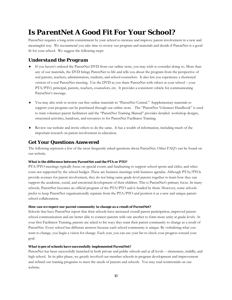## *Is ParentNet A Good Fit For Your School?*

ParentNet requires a long-term commitment by your school to increase and improve parent involvement in a new and meaningful way. We recommend you take time to review our program and materials and decide if ParentNet is a good fit for your school. We suggest the following steps:

#### *Understand the Program*

- ♦ If you haven't ordered the ParentNet DVD from our online store, you may wish to consider doing so. More than any of our materials, the DVD brings ParentNet to life and tells you about the program from the perspective of real parents, teachers, administrators, students, and school counselors. It also lets you experience a shortened version of a real ParentNet meeting. Use the DVD as you share ParentNet with others at your school – your PTA/PTO, principal, parents, teachers, counselors, etc. It provides a consistent vehicle for communicating ParentNet's message.
- ♦ You may also wish to review our free online materials in "ParentNet Central." Supplementary materials to support your program can be purchased through our online store. The "ParentNet Volunteer Handbook" is used to train volunteer parent facilitators and the "ParentNet Training Manual" provides detailed workshop designs, structured activities, handouts, and resources to for ParentNet Facilitator Training.
- ♦ Review our website and invite others to do the same. It has a wealth of information, including much of the important research on parent involvement in education.

#### *Get Your Questions Answered*

The following represent a few of the most frequently asked questions about ParentNet. Other FAQ's can be found on our website.

#### *What is the difference between ParentNet and the PTA or PTO?*

PTA/PTO meetings typically focus on special events and fundraising to support school sports and clubs, and other costs not supported by the school budget. These are business meetings with business agendas. Although PTAs/PTOs provide avenues for parent involvement, they do not bring same grade-level parents together to learn how they can support the academic, social, and emotional development of their children. This is ParentNet's primary focus. In many schools, ParentNet becomes an official program of the PTA/PTO and is funded by them. However, some schools prefer to keep ParentNet organizationally separate from the PTA/PTO and position it as a new and unique parentschool collaboration.

#### *How can we expect our parent community to change as a result of ParentNet?*

Schools that have ParentNet report that their schools have increased overall parent participation, improved parentschool communication and are better able to connect parents with one another to form more unity at grade levels. At your first Facilitator Training, parents are asked to list ways they want their parent community to change as a result of ParentNet. Every school has different answers because each school community is unique. By verbalizing what you want to change, you begin a vision for change. Each year, you can use your list to check your progress toward your goal.

#### *What types of schools have successfully implemented ParentNet?*

ParentNet has been successfully launched in both private and public schools and at all levels -- elementary, middle, and high school. In its pilot phase, we greatly involved our member schools in program development and improvement and refined our training programs to meet the needs of parents and schools. You may read testimonials on our website.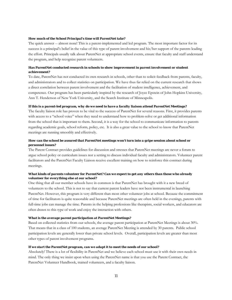#### *How much of the School Principal's time will ParentNet take?*

The quick answer -- almost none! This is a parent-implemented and led program. The most important factor for its success is a principal's belief in the value of this type of parent involvement and his/her support of the parents leading the effort. Principals usually talk about ParentNet at appropriate school events, ensure that faculty and staff understand the program, and help recognize parent volunteers.

#### *Has ParentNet conducted research in schools to show improvement in parent involvement or student achievement?*

To date, ParentNet has not conducted its own research in schools, other than to solicit feedback from parents, faculty, and administrators and to collect statistics on participation. We have thus far relied on the current research that shows a direct correlation between parent involvement and the facilitation of student intelligence, achievement, and competence. Our program has been particularly inspired by the research of Joyce Epstein of John Hopkins University, Ann T. Henderson of New York University, and the Search Institute of Minneapolis.

#### *If this is a parent-led program, why do we need to have a faculty liaison attend ParentNet Meetings?*

The faculty liaison role has proven to be vital to the success of ParentNet for several reasons. First, it provides parents with access to a "school voice" when they need to understand how to problem-solve or get additional information from the school that is important to them. Second, it is a way for the school to communicate information to parents regarding academic goals, school reform, policy, etc. It is also a great value to the school to know that ParentNet meetings are running smoothly and effectively.

#### *How can the school be assured that ParentNet meetings won't turn into a gripe session about school or personnel issues?*

The Parent Contract provides guidelines for discussion and stresses that ParentNet meetings are never a forum to argue school policy or curriculum issues nor a setting to discuss individual faculty and administrators. Volunteer parent facilitators and the ParentNet Faculty Liaison receive excellent training on how to reinforce this contract during meetings.

#### *What kinds of parents volunteer for ParentNet? Can we expect to get any others than those who already volunteer for everything else at our school?*

One thing that all our member schools have in common is that ParentNet has brought with it a new breed of volunteers to the school. This is not to say that current parent leaders have not been instrumental in launching ParentNet. However, this program is very different than most other volunteer jobs at school. Because the commitment of time for facilitators is quite reasonable and because ParentNet meetings are often held in the evenings, parents with full-time jobs can manage the time. Parents in the helping professions like therapists, social workers, and educators are often drawn to this type of work and enjoy the interaction with others.

#### *What is the average parent participation at ParentNet Meetings?*

Based on collected statistics from our schools, the average parent participation at ParentNet Meetings is about 30%. That means that in a class of 100 students, an average ParentNet Meeting is attended by 30 parents. Public school participation levels are generally lower than private school levels. Overall, participation levels are greater than most other types of parent involvement programs.

#### *If we start the ParentNet program, can we adapt it to meet the needs of our school?*

Absolutely! There is a lot of flexibility in ParentNet and we believe each school must use it with their own needs in mind. The only thing we insist upon when using the ParentNet name is that you use the Parent Contract, the ParentNet Volunteer Handbook, trained volunteers, and a faculty liaison.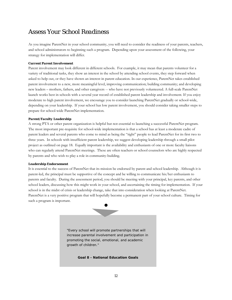## *Assess Your School Readiness*

As you imagine ParentNet in your school community, you will need to consider the readiness of your parents, teachers, and school administrators to beginning such a program. Depending upon your assessment of the following, your strategy for implementation will differ.

#### *Current Parent Involvement*

Parent involvement may look different in different schools. For example, it may mean that parents volunteer for a variety of traditional tasks, they show an interest in the school by attending school events, they step forward when asked to help out, or they have shown an interest in parent education. In our experience, ParentNet takes established parent involvement to a new, more meaningful level, improving communication; building community; and developing new leaders – mothers, fathers, and other caregivers -- who have not previously volunteered. A full-scale ParentNet launch works best in schools with a several year record of established parent leadership and involvement. If you enjoy moderate to high parent involvement, we encourage you to consider launching ParentNet gradually or school-wide, depending on your leadership. If your school has low parent involvement, you should consider taking smaller steps to prepare for school-wide ParentNet implementation.

#### *Parent/Faculty Leadership*

A strong PTA or other parent organization is helpful but not essential to launching a successful ParentNet program. The most important pre-requisite for school-wide implementation is that a school has at least a moderate cadre of parent leaders and several parents who come to mind as being the "right" people to lead ParentNet for its first two to three years. In schools with insufficient parent leadership, we suggest developing leadership through a small pilot project as outlined on page 18. Equally important is the availability and enthusiasm of one or more faculty liaisons who can regularly attend ParentNet meetings. These are often teachers or school counselors who are highly respected by parents and who wish to play a role in community-building.

#### *Leadership Endorsement*

It is essential to the success of ParentNet that its mission be endorsed by parent and school leadership. Although it is parent-led, the principal must be supportive of the concept and be willing to communicate his/her enthusiasm to parents and faculty. During the assessment period, you should be meeting with your principal, key parents, and other school leaders, discussing how this might work in your school, and ascertaining the timing for implementation. If your school is in the midst of crisis or leadership change, take that into consideration when looking at ParentNet. ParentNet is a very positive program that will hopefully become a permanent part of your school culture. Timing for such a program is important.

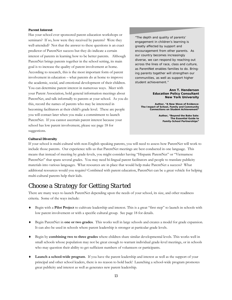#### *Parent Interest*

Has your school ever sponsored parent education workshops or seminars? If so, how were they received by parents? Were they well-attended? Not that the answer to these questions is an exact predictor of ParentNet success but they do indicate a certain interest of parents in learning how to be better parents. Although ParentNet brings parents together in the school setting, its main goal is to increase the quality of parent involvement at home. According to research, this is the most important form of parent involvement in education – what parents do at home to improve the academic, social, and emotional development of their children. You can determine parent interest in numerous ways. Meet with your Parent Association, hold general information meetings about ParentNet, and talk informally to parents at your school. As you do this, record the names of parents who may be interested in becoming facilitators at their child's grade level. These are people you will contact later when you make a commitment to launch ParentNet. If you cannot ascertain parent interest because your school has low parent involvement, please see page 18 for suggestions.

"The depth and quality of parents' engagement in children's learning is greatly affected by support and encouragement from other parents. As our country becomes increasingly diverse, we can respond by reaching out across the lines of race, class and culture, as ParentNet enables families to do. Bringing parents together will strengthen our communities, as well as support higher student achievement."

#### *Ann T. Henderson Education Policy Consultant New York University*

*Author, "A New Wave of Evidence: The Impact of School, Family and Community Connections on Student Achievement"* 

> *Author, "Beyond the Bake Sale: The Essential Guide to Family-School Partnerships"*

#### *Cultural Diversity*

If your school is multi-cultural with non-English speaking parents, you will need to assess how ParentNet will work to include those parents. Our experience tells us that ParentNet meetings are best conducted in one language. This means that instead of meeting by grade-levels, you might consider having "Hispanic ParentNet" or "Vietnamese ParentNet" that spans several grades. You may need bi-lingual parent facilitators and people to translate publicity materials into various languages. What resources are in place that would help make ParentNet a success? What additional resources would you require? Combined with parent education, ParentNet can be a great vehicle for helping multi-cultural parents help their kids.

## *Choose a Strategy for Getting Started*

There are many ways to launch ParentNet depending upon the needs of your school, its size, and other readiness criteria. Some of the ways include:

- ♦ Begin with a **Pilot Project** to cultivate leadership and interest. This is a great "first step" to launch in schools with low parent involvement or with a specific cultural group. See page 18 for details.
- ♦ Begin ParentNet in **one or two grades**. This works well in large schools and creates a model for grade expansion. It can also be used in schools where parent leadership is stronger at particular grade levels.
- ♦ Begin by **combining two to three grades** where children share similar developmental levels. This works well in small schools whose population may not be great enough to warrant individual grade-level meetings, or in schools who may question their ability to get sufficient numbers of volunteers or participants.
- ♦ **Launch a school-wide program**. If you have the parent leadership and interest as well as the support of your principal and other school leaders, there is no reason to hold back! Launching a school-wide program promotes great publicity and interest as well as generates new parent leadership.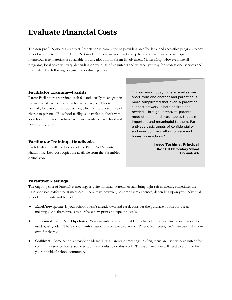## *Evaluate Financial Costs*

The non-profit National ParentNet Association is committed to providing an affordable and accessible program to any school wishing to adopt the ParentNet model. There are no membership fees or annual costs to participate. Numerous free materials are available for download from Parent Involvement Matters.Org. However, like all programs, local costs will vary, depending on your use of volunteers and whether you pay for professional services and materials. The following is a guide to evaluating costs.

#### *Facilitator Training—Facility*

Parent Facilitators are trained each fall and usually meet again in the middle of each school year for skill-practice. This is normally held at your school facility, which is most often free of charge to parents. If a school facility is unavailable, check with local libraries that often have free space available for school and non-profit groups.

#### *Facilitator Training—Handbooks*

Each facilitator will need a copy of the ParentNet Volunteer Handbook. Low-cost copies are available from the ParentNet online store.

"In our world today, where families live apart from one another and parenting is more complicated that ever, a parenting support network is both desired and needed. Through ParentNet, parents meet others and discuss topics that are important and meaningful to them. ParentNet's basic tenets of confidentiality and non-judgment allow for safe and honest interactions."

> *Joyce Teshima, Principal Rose Hill Elementary School Kirkland, WA*

#### *ParentNet Meetings*

The ongoing cost of ParentNet meetings is quite minimal. Parents usually bring light refreshments, sometimes the PTA sponsors coffee/tea at meetings. There may, however, be some extra expenses, depending upon your individual school community and budget.

- ♦ **Easel/newsprint:** If your school doesn't already own and easel, consider the purchase of one for use at meetings. An alternative is to purchase newsprint and tape it to walls.
- ♦ **Preprinted ParentNet Flipcharts:** You can order a set of reusable flipcharts from our online store that can be used by all grades. These contain information that is reviewed at each ParentNet meeting. (Or you can make your own flipcharts.)
- ♦ **Childcare:** Some schools provide childcare during ParentNet meetings. Often, teens are used who volunteer for community service hours; some schools pay adults to do this work. This is an area you will need to examine for your individual school community.